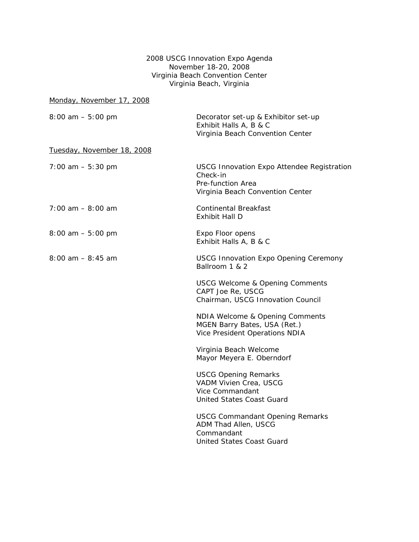2008 USCG Innovation Expo Agenda November 18-20, 2008 Virginia Beach Convention Center Virginia Beach, Virginia

| Monday, November 17, 2008  |                                                                                                                        |
|----------------------------|------------------------------------------------------------------------------------------------------------------------|
| $8:00$ am $-5:00$ pm       | Decorator set-up & Exhibitor set-up<br>Exhibit Halls A, B & C<br>Virginia Beach Convention Center                      |
| Tuesday, November 18, 2008 |                                                                                                                        |
| $7:00$ am $-5:30$ pm       | <b>USCG Innovation Expo Attendee Registration</b><br>Check-in<br>Pre-function Area<br>Virginia Beach Convention Center |
| $7:00$ am $-8:00$ am       | <b>Continental Breakfast</b><br>Exhibit Hall D                                                                         |
| $8:00$ am $-5:00$ pm       | Expo Floor opens<br>Exhibit Halls A, B & C                                                                             |
| $8:00$ am $-8:45$ am       | <b>USCG Innovation Expo Opening Ceremony</b><br>Ballroom 1 & 2                                                         |
|                            | <b>USCG Welcome &amp; Opening Comments</b><br>CAPT Joe Re, USCG<br>Chairman, USCG Innovation Council                   |
|                            | NDIA Welcome & Opening Comments<br>MGEN Barry Bates, USA (Ret.)<br>Vice President Operations NDIA                      |
|                            | Virginia Beach Welcome<br>Mayor Meyera E. Oberndorf                                                                    |
|                            | <b>USCG Opening Remarks</b><br>VADM Vivien Crea, USCG<br>Vice Commandant<br>United States Coast Guard                  |
|                            | <b>USCG Commandant Opening Remarks</b><br>ADM Thad Allen, USCG<br>Commandant<br>United States Coast Guard              |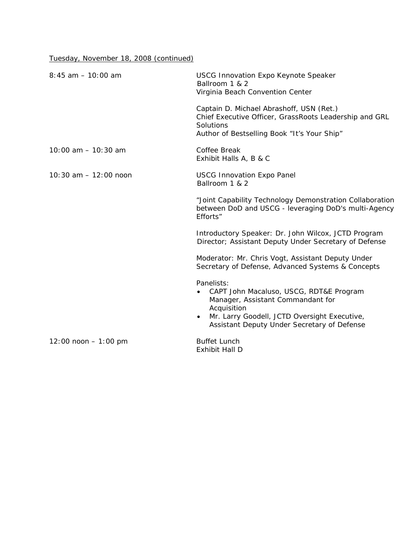Tuesday, November 18, 2008 (continued)

| $8:45$ am $-10:00$ am    | <b>USCG Innovation Expo Keynote Speaker</b><br>Ballroom 1 & 2<br>Virginia Beach Convention Center                                                                                                        |
|--------------------------|----------------------------------------------------------------------------------------------------------------------------------------------------------------------------------------------------------|
|                          | Captain D. Michael Abrashoff, USN (Ret.)<br>Chief Executive Officer, GrassRoots Leadership and GRL<br>Solutions<br>Author of Bestselling Book "It's Your Ship"                                           |
| $10:00$ am $-10:30$ am   | Coffee Break<br>Exhibit Halls A, B & C                                                                                                                                                                   |
| $10:30$ am $-12:00$ noon | <b>USCG Innovation Expo Panel</b><br>Ballroom 1 & 2                                                                                                                                                      |
|                          | "Joint Capability Technology Demonstration Collaboration<br>between DoD and USCG - leveraging DoD's multi-Agency<br>Efforts"                                                                             |
|                          | Introductory Speaker: Dr. John Wilcox, JCTD Program<br>Director; Assistant Deputy Under Secretary of Defense                                                                                             |
|                          | Moderator: Mr. Chris Vogt, Assistant Deputy Under<br>Secretary of Defense, Advanced Systems & Concepts                                                                                                   |
|                          | Panelists:<br>CAPT John Macaluso, USCG, RDT&E Program<br>Manager, Assistant Commandant for<br>Acquisition<br>Mr. Larry Goodell, JCTD Oversight Executive,<br>Assistant Deputy Under Secretary of Defense |
| $12:00$ noon $-1:00$ pm  | <b>Buffet Lunch</b><br>Exhibit Hall D                                                                                                                                                                    |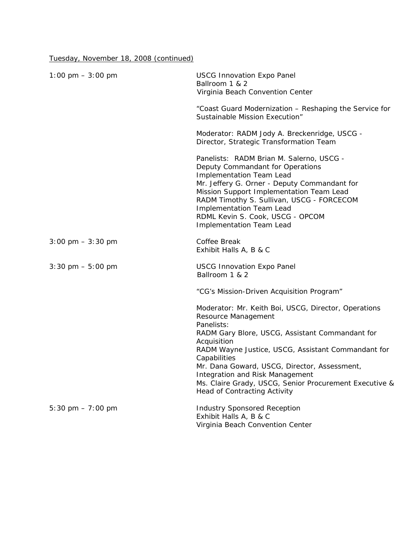Tuesday, November 18, 2008 (continued)

| 1:00 pm $-3:00$ pm                  | <b>USCG Innovation Expo Panel</b><br>Ballroom 1 & 2<br>Virginia Beach Convention Center                                                                                                                                                                                                                                                                            |
|-------------------------------------|--------------------------------------------------------------------------------------------------------------------------------------------------------------------------------------------------------------------------------------------------------------------------------------------------------------------------------------------------------------------|
|                                     | "Coast Guard Modernization – Reshaping the Service for<br>Sustainable Mission Execution"                                                                                                                                                                                                                                                                           |
|                                     | Moderator: RADM Jody A. Breckenridge, USCG -<br>Director, Strategic Transformation Team                                                                                                                                                                                                                                                                            |
|                                     | Panelists: RADM Brian M. Salerno, USCG -<br>Deputy Commandant for Operations<br><b>Implementation Team Lead</b><br>Mr. Jeffery G. Orner - Deputy Commandant for<br>Mission Support Implementation Team Lead<br>RADM Timothy S. Sullivan, USCG - FORCECOM<br><b>Implementation Team Lead</b><br>RDML Kevin S. Cook, USCG - OPCOM<br><b>Implementation Team Lead</b> |
| $3:00 \text{ pm} - 3:30 \text{ pm}$ | Coffee Break<br>Exhibit Halls A, B & C                                                                                                                                                                                                                                                                                                                             |
| $3:30 \text{ pm} - 5:00 \text{ pm}$ | <b>USCG Innovation Expo Panel</b><br>Ballroom 1 & 2                                                                                                                                                                                                                                                                                                                |
|                                     | "CG's Mission-Driven Acquisition Program"                                                                                                                                                                                                                                                                                                                          |
|                                     | Moderator: Mr. Keith Boi, USCG, Director, Operations<br>Resource Management<br>Panelists:                                                                                                                                                                                                                                                                          |
|                                     | RADM Gary Blore, USCG, Assistant Commandant for<br>Acquisition<br>RADM Wayne Justice, USCG, Assistant Commandant for<br>Capabilities<br>Mr. Dana Goward, USCG, Director, Assessment,<br>Integration and Risk Management<br>Ms. Claire Grady, USCG, Senior Procurement Executive &<br><b>Head of Contracting Activity</b>                                           |
| 5:30 pm $-7:00$ pm                  | <b>Industry Sponsored Reception</b><br>Exhibit Halls A, B & C<br>Virginia Beach Convention Center                                                                                                                                                                                                                                                                  |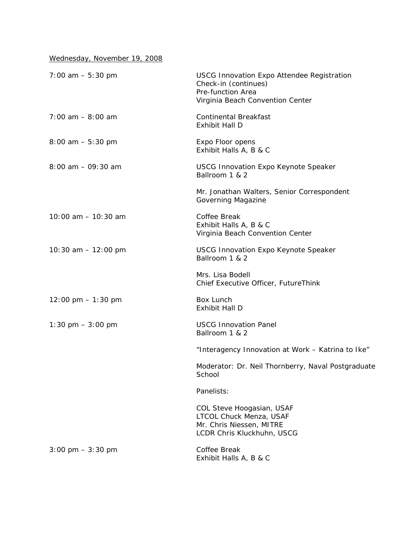Wednesday, November 19, 2008

| $7:00$ am $-5:30$ pm                 | <b>USCG Innovation Expo Attendee Registration</b><br>Check-in (continues)<br>Pre-function Area<br>Virginia Beach Convention Center |
|--------------------------------------|------------------------------------------------------------------------------------------------------------------------------------|
| $7:00$ am $- 8:00$ am                | <b>Continental Breakfast</b><br>Exhibit Hall D                                                                                     |
| $8:00$ am $-5:30$ pm                 | Expo Floor opens<br>Exhibit Halls A, B & C                                                                                         |
| $8:00$ am $-09:30$ am                | <b>USCG Innovation Expo Keynote Speaker</b><br>Ballroom 1 & 2                                                                      |
|                                      | Mr. Jonathan Walters, Senior Correspondent<br>Governing Magazine                                                                   |
| 10:00 am - 10:30 am                  | Coffee Break<br>Exhibit Halls A, B & C<br>Virginia Beach Convention Center                                                         |
| 10:30 am $-$ 12:00 pm                | <b>USCG Innovation Expo Keynote Speaker</b><br>Ballroom 1 & 2                                                                      |
|                                      | Mrs. Lisa Bodell<br>Chief Executive Officer, FutureThink                                                                           |
| $12:00 \text{ pm} - 1:30 \text{ pm}$ | Box Lunch<br>Exhibit Hall D                                                                                                        |
| 1:30 pm $-3:00$ pm                   | <b>USCG Innovation Panel</b><br>Ballroom 1 & 2                                                                                     |
|                                      | "Interagency Innovation at Work - Katrina to Ike"                                                                                  |
|                                      | Moderator: Dr. Neil Thornberry, Naval Postgraduate<br>School                                                                       |
|                                      | Panelists:                                                                                                                         |
|                                      | COL Steve Hoogasian, USAF<br>LTCOL Chuck Menza, USAF<br>Mr. Chris Niessen, MITRE<br>LCDR Chris Kluckhuhn, USCG                     |
| $3:00 \text{ pm} - 3:30 \text{ pm}$  | Coffee Break<br>Exhibit Halls A, B & C                                                                                             |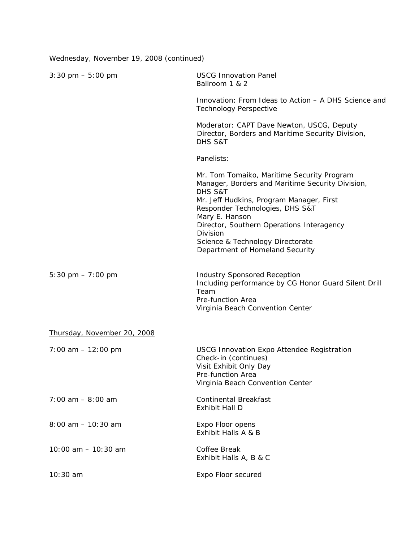Wednesday, November 19, 2008 (continued)

| $3:30 \text{ pm} - 5:00 \text{ pm}$ | <b>USCG Innovation Panel</b><br>Ballroom 1 & 2                                                                                                                                                                                                                                                                                             |
|-------------------------------------|--------------------------------------------------------------------------------------------------------------------------------------------------------------------------------------------------------------------------------------------------------------------------------------------------------------------------------------------|
|                                     | Innovation: From Ideas to Action – A DHS Science and<br><b>Technology Perspective</b>                                                                                                                                                                                                                                                      |
|                                     | Moderator: CAPT Dave Newton, USCG, Deputy<br>Director, Borders and Maritime Security Division,<br>DHS S&T                                                                                                                                                                                                                                  |
|                                     | Panelists:                                                                                                                                                                                                                                                                                                                                 |
|                                     | Mr. Tom Tomaiko, Maritime Security Program<br>Manager, Borders and Maritime Security Division,<br>DHS S&T<br>Mr. Jeff Hudkins, Program Manager, First<br>Responder Technologies, DHS S&T<br>Mary E. Hanson<br>Director, Southern Operations Interagency<br>Division<br>Science & Technology Directorate<br>Department of Homeland Security |
| 5:30 pm $-7:00$ pm                  | <b>Industry Sponsored Reception</b><br>Including performance by CG Honor Guard Silent Drill<br>Team<br>Pre-function Area<br>Virginia Beach Convention Center                                                                                                                                                                               |
| Thursday, November 20, 2008         |                                                                                                                                                                                                                                                                                                                                            |
| $7:00$ am $-12:00$ pm               | <b>USCG Innovation Expo Attendee Registration</b><br>Check-in (continues)<br>Visit Exhibit Only Day<br>Pre-function Area<br>Virginia Beach Convention Center                                                                                                                                                                               |
| $7:00$ am $-8:00$ am                | <b>Continental Breakfast</b><br>Exhibit Hall D                                                                                                                                                                                                                                                                                             |
| $8:00$ am $-10:30$ am               | Expo Floor opens<br>Exhibit Halls A & B                                                                                                                                                                                                                                                                                                    |
| 10:00 am - 10:30 am                 | Coffee Break<br>Exhibit Halls A, B & C                                                                                                                                                                                                                                                                                                     |
| 10:30 am                            | Expo Floor secured                                                                                                                                                                                                                                                                                                                         |